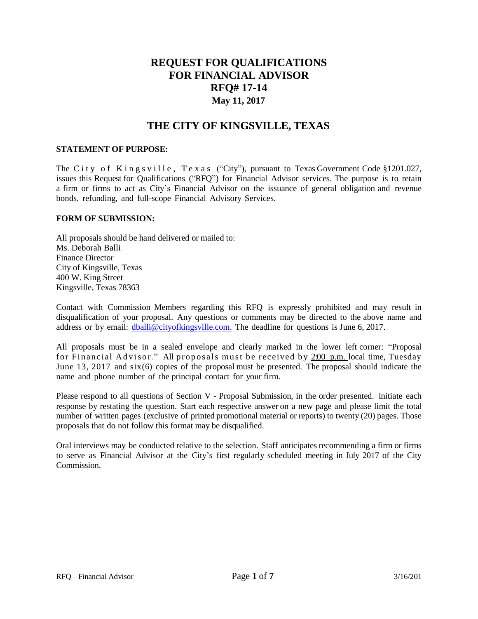# **REQUEST FOR QUALIFICATIONS FOR FINANCIAL ADVISOR RFQ# 17-14 May 11, 2017**

# **THE CITY OF KINGSVILLE, TEXAS**

#### **STATEMENT OF PURPOSE:**

The City of Kingsville, Texas ("City"), pursuant to Texas Government Code §1201.027, issues this Request for Qualifications ("RFQ") for Financial Advisor services. The purpose is to retain a firm or firms to act as City's Financial Advisor on the issuance of general obligation and revenue bonds, refunding, and full-scope Financial Advisory Services.

#### **FORM OF SUBMISSION:**

All proposals should be hand delivered or mailed to: Ms. Deborah Balli Finance Director City of Kingsville, Texas 400 W. King Street Kingsville, Texas 78363

Contact with Commission Members regarding this RFQ is expressly prohibited and may result in disqualification of your proposal. Any questions or comments may be directed to the above name and address or by email: [dballi@cityofkingsville.com.](mailto:dballi@cityofkingsville.com) The deadline for questions is June 6, 2017.

All proposals must be in a sealed envelope and clearly marked in the lower left corner: "Proposal for Financial Advisor." All proposals must be received by 2.00 p.m. local time, Tuesday June 13, 2017 and six(6) copies of the proposal must be presented. The proposal should indicate the name and phone number of the principal contact for your firm.

Please respond to all questions of Section V - Proposal Submission, in the order presented. Initiate each response by restating the question. Start each respective answer on a new page and please limit the total number of written pages (exclusive of printed promotional material or reports) to twenty (20) pages. Those proposals that do not follow this format may be disqualified.

Oral interviews may be conducted relative to the selection. Staff anticipates recommending a firm or firms to serve as Financial Advisor at the City's first regularly scheduled meeting in July 2017 of the City Commission.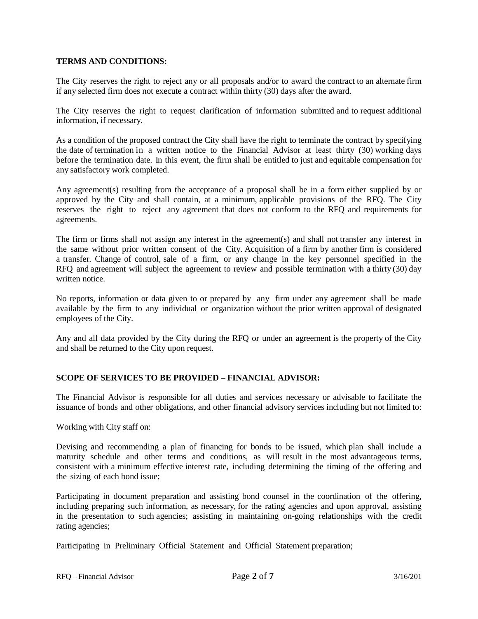#### **TERMS AND CONDITIONS:**

The City reserves the right to reject any or all proposals and/or to award the contract to an alternate firm if any selected firm does not execute a contract within thirty (30) days after the award.

The City reserves the right to request clarification of information submitted and to request additional information, if necessary.

As a condition of the proposed contract the City shall have the right to terminate the contract by specifying the date of termination in a written notice to the Financial Advisor at least thirty (30) working days before the termination date. In this event, the firm shall be entitled to just and equitable compensation for any satisfactory work completed.

Any agreement(s) resulting from the acceptance of a proposal shall be in a form either supplied by or approved by the City and shall contain, at a minimum, applicable provisions of the RFQ. The City reserves the right to reject any agreement that does not conform to the RFQ and requirements for agreements.

The firm or firms shall not assign any interest in the agreement(s) and shall not transfer any interest in the same without prior written consent of the City. Acquisition of a firm by another firm is considered a transfer. Change of control, sale of a firm, or any change in the key personnel specified in the RFQ and agreement will subject the agreement to review and possible termination with a thirty (30) day written notice

No reports, information or data given to or prepared by any firm under any agreement shall be made available by the firm to any individual or organization without the prior written approval of designated employees of the City.

Any and all data provided by the City during the RFQ or under an agreement is the property of the City and shall be returned to the City upon request.

#### **SCOPE OF SERVICES TO BE PROVIDED – FINANCIAL ADVISOR:**

The Financial Advisor is responsible for all duties and services necessary or advisable to facilitate the issuance of bonds and other obligations, and other financial advisory services including but not limited to:

Working with City staff on:

Devising and recommending a plan of financing for bonds to be issued, which plan shall include a maturity schedule and other terms and conditions, as will result in the most advantageous terms, consistent with a minimum effective interest rate, including determining the timing of the offering and the sizing of each bond issue;

Participating in document preparation and assisting bond counsel in the coordination of the offering, including preparing such information, as necessary, for the rating agencies and upon approval, assisting in the presentation to such agencies; assisting in maintaining on-going relationships with the credit rating agencies;

Participating in Preliminary Official Statement and Official Statement preparation;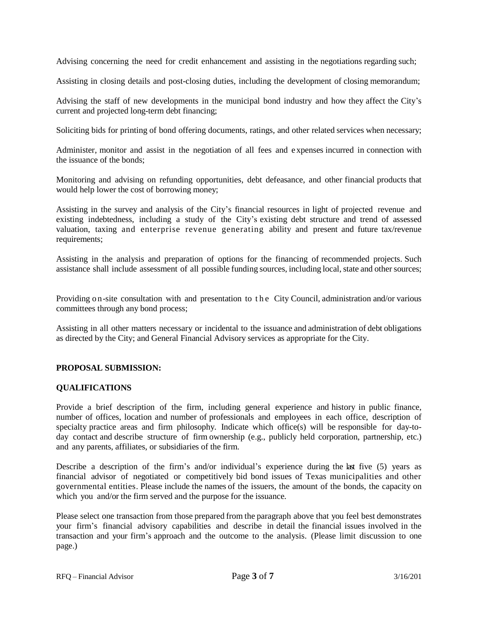Advising concerning the need for credit enhancement and assisting in the negotiations regarding such;

Assisting in closing details and post-closing duties, including the development of closing memorandum;

Advising the staff of new developments in the municipal bond industry and how they affect the City's current and projected long-term debt financing;

Soliciting bids for printing of bond offering documents, ratings, and other related services when necessary;

Administer, monitor and assist in the negotiation of all fees and e xpenses incurred in connection with the issuance of the bonds;

Monitoring and advising on refunding opportunities, debt defeasance, and other financial products that would help lower the cost of borrowing money;

Assisting in the survey and analysis of the City's financial resources in light of projected revenue and existing indebtedness, including a study of the City's existing debt structure and trend of assessed valuation, taxing and enterprise revenue generating ability and present and future tax/revenue requirements;

Assisting in the analysis and preparation of options for the financing of recommended projects. Such assistance shall include assessment of all possible funding sources, including local, state and othersources;

Providing on-site consultation with and presentation to the City Council, administration and/or various committees through any bond process;

Assisting in all other matters necessary or incidental to the issuance and administration of debt obligations as directed by the City; and General Financial Advisory services as appropriate for the City.

## **PROPOSAL SUBMISSION:**

#### **QUALIFICATIONS**

Provide a brief description of the firm, including general experience and history in public finance, number of offices, location and number of professionals and employees in each office, description of specialty practice areas and firm philosophy. Indicate which office(s) will be responsible for day-today contact and describe structure of firm ownership (e.g., publicly held corporation, partnership, etc.) and any parents, affiliates, or subsidiaries of the firm.

Describe a description of the firm's and/or individual's experience during the last five (5) years as financial advisor of negotiated or competitively bid bond issues of Texas municipalities and other governmental entities. Please include the names of the issuers, the amount of the bonds, the capacity on which you and/or the firm served and the purpose for the issuance.

Please select one transaction from those prepared from the paragraph above that you feel best demonstrates your firm's financial advisory capabilities and describe in detail the financial issues involved in the transaction and your firm's approach and the outcome to the analysis. (Please limit discussion to one page.)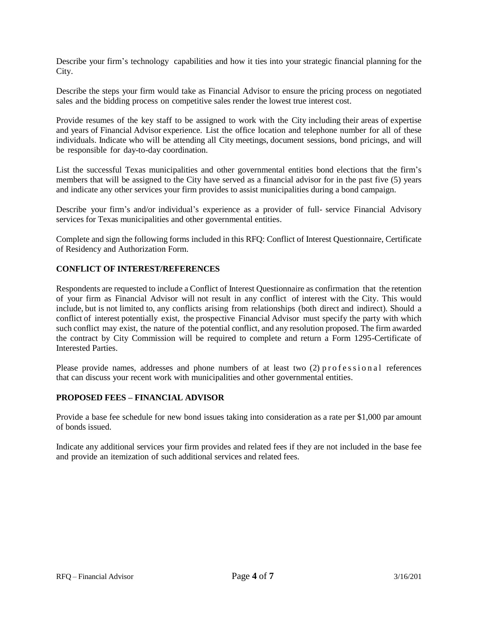Describe your firm's technology capabilities and how it ties into your strategic financial planning for the City.

Describe the steps your firm would take as Financial Advisor to ensure the pricing process on negotiated sales and the bidding process on competitive sales render the lowest true interest cost.

Provide resumes of the key staff to be assigned to work with the City including their areas of expertise and years of Financial Advisor experience. List the office location and telephone number for all of these individuals. Indicate who will be attending all City meetings, document sessions, bond pricings, and will be responsible for day-to-day coordination.

List the successful Texas municipalities and other governmental entities bond elections that the firm's members that will be assigned to the City have served as a financial advisor for in the past five (5) years and indicate any other services your firm provides to assist municipalities during a bond campaign.

Describe your firm's and/or individual's experience as a provider of full- service Financial Advisory services for Texas municipalities and other governmental entities.

Complete and sign the following forms included in this RFQ: Conflict of Interest Questionnaire, Certificate of Residency and Authorization Form.

### **CONFLICT OF INTEREST/REFERENCES**

Respondents are requested to include a Conflict of Interest Questionnaire as confirmation that the retention of your firm as Financial Advisor will not result in any conflict of interest with the City. This would include, but is not limited to, any conflicts arising from relationships (both direct and indirect). Should a conflict of interest potentially exist, the prospective Financial Advisor must specify the party with which such conflict may exist, the nature of the potential conflict, and any resolution proposed. The firm awarded the contract by City Commission will be required to complete and return a Form 1295-Certificate of Interested Parties.

Please provide names, addresses and phone numbers of at least two  $(2)$  professional references that can discuss your recent work with municipalities and other governmental entities.

#### **PROPOSED FEES – FINANCIAL ADVISOR**

Provide a base fee schedule for new bond issues taking into consideration as a rate per \$1,000 par amount of bonds issued.

Indicate any additional services your firm provides and related fees if they are not included in the base fee and provide an itemization of such additional services and related fees.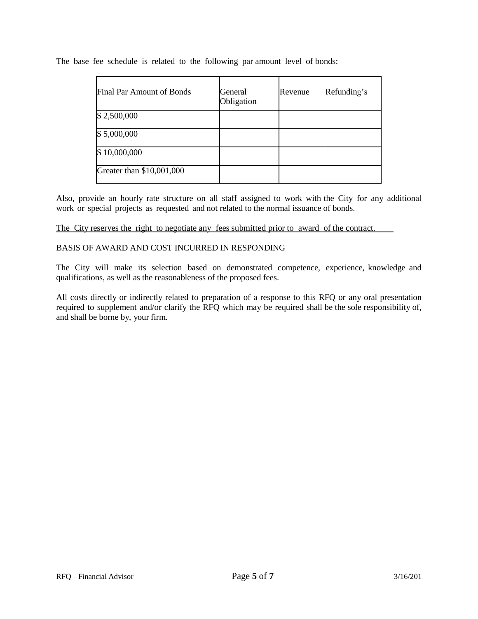The base fee schedule is related to the following par amount level of bonds:

| Final Par Amount of Bonds | General<br>Obligation | Revenue | Refunding's |
|---------------------------|-----------------------|---------|-------------|
| \$2,500,000               |                       |         |             |
| \$5,000,000               |                       |         |             |
| \$10,000,000              |                       |         |             |
| Greater than \$10,001,000 |                       |         |             |

Also, provide an hourly rate structure on all staff assigned to work with the City for any additional work or special projects as requested and not related to the normal issuance of bonds.

#### The City reserves the right to negotiate any fees submitted prior to award of the contract.

### BASIS OF AWARD AND COST INCURRED IN RESPONDING

The City will make its selection based on demonstrated competence, experience, knowledge and qualifications, as well as the reasonableness of the proposed fees.

All costs directly or indirectly related to preparation of a response to this RFQ or any oral presentation required to supplement and/or clarify the RFQ which may be required shall be the sole responsibility of, and shall be borne by, your firm.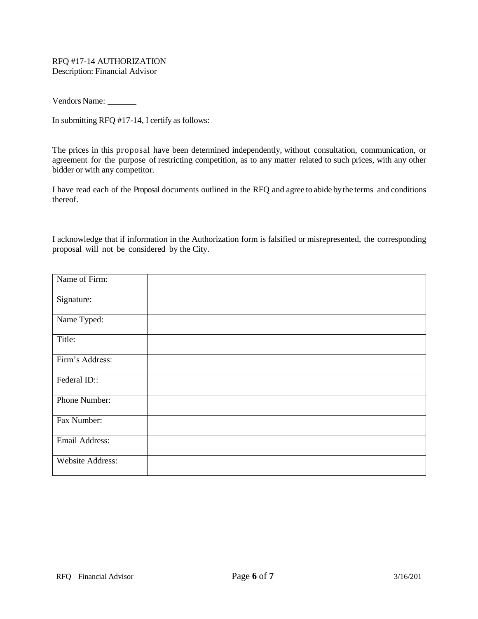#### RFQ #17-14 AUTHORIZATION Description: Financial Advisor

Vendors Name:

In submitting RFQ #17-14, I certify as follows:

The prices in this proposal have been determined independently, without consultation, communication, or agreement for the purpose of restricting competition, as to any matter related to such prices, with any other bidder or with any competitor.

I have read each of the Proposal documents outlined in the RFQ and agree to abide bythe terms and conditions thereof.

I acknowledge that if information in the Authorization form is falsified or misrepresented, the corresponding proposal will not be considered by the City.

| Name of Firm:    |  |  |
|------------------|--|--|
| Signature:       |  |  |
| Name Typed:      |  |  |
| Title:           |  |  |
| Firm's Address:  |  |  |
| Federal ID::     |  |  |
| Phone Number:    |  |  |
| Fax Number:      |  |  |
| Email Address:   |  |  |
| Website Address: |  |  |